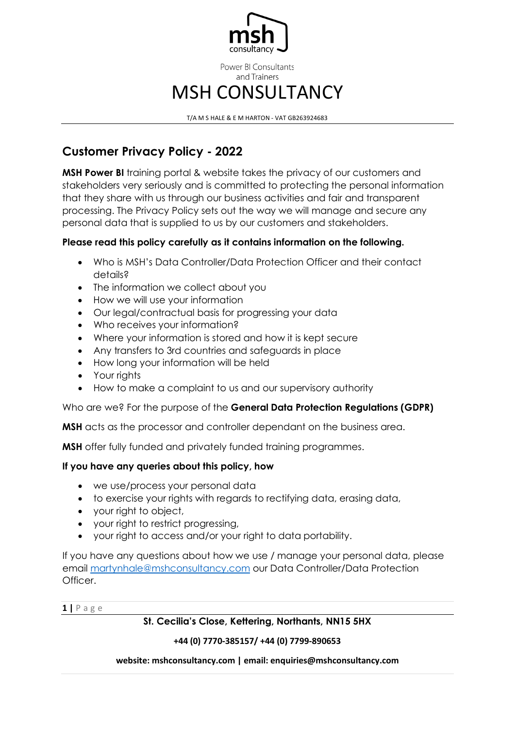

T/A M S HALE & E M HARTON - VAT GB263924683

# **Customer Privacy Policy - 2022**

**MSH Power BI** training portal & website takes the privacy of our customers and stakeholders very seriously and is committed to protecting the personal information that they share with us through our business activities and fair and transparent processing. The Privacy Policy sets out the way we will manage and secure any personal data that is supplied to us by our customers and stakeholders.

# **Please read this policy carefully as it contains information on the following.**

- Who is MSH's Data Controller/Data Protection Officer and their contact details?
- The information we collect about you
- How we will use your information
- Our legal/contractual basis for progressing your data
- Who receives your information?
- Where your information is stored and how it is kept secure
- Any transfers to 3rd countries and safeguards in place
- How long your information will be held
- Your rights
- How to make a complaint to us and our supervisory authority

# Who are we? For the purpose of the **General Data Protection Regulations (GDPR)**

**MSH** acts as the processor and controller dependant on the business area.

**MSH** offer fully funded and privately funded training programmes.

# **If you have any queries about this policy, how**

- we use/process your personal data
- to exercise your rights with regards to rectifying data, erasing data,
- your right to object,
- your right to restrict progressing,
- your right to access and/or your right to data portability.

If you have any questions about how we use / manage your personal data, please email [martynhale@mshconsultancy.com](mailto:martynhale@mshconsultancy.com) our Data Controller/Data Protection Officer.

**1 |** Page

# **St. Cecilia's Close, Kettering, Northants, NN15 5HX**

# **+44 (0) 7770-385157/ +44 (0) 7799-890653**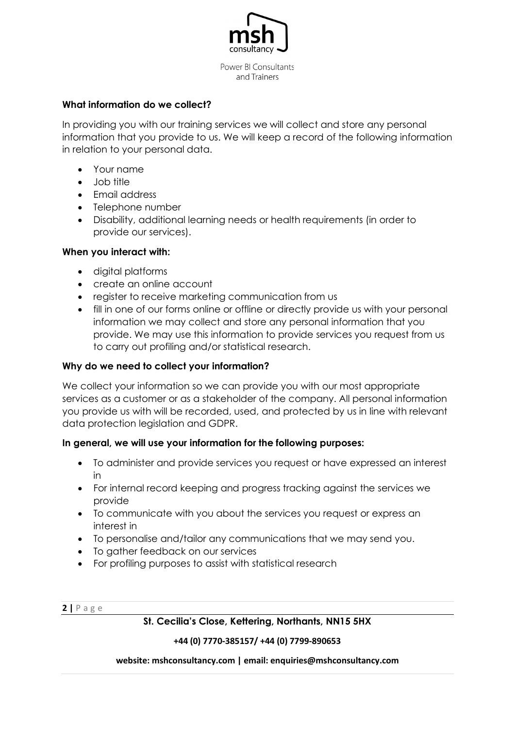

### **What information do we collect?**

In providing you with our training services we will collect and store any personal information that you provide to us. We will keep a record of the following information in relation to your personal data.

- Your name
- Job title
- Email address
- Telephone number
- Disability, additional learning needs or health requirements (in order to provide our services).

### **When you interact with:**

- digital platforms
- create an online account
- register to receive marketing communication from us
- fill in one of our forms online or offline or directly provide us with your personal information we may collect and store any personal information that you provide. We may use this information to provide services you request from us to carry out profiling and/or statistical research.

### **Why do we need to collect your information?**

We collect your information so we can provide you with our most appropriate services as a customer or as a stakeholder of the company. All personal information you provide us with will be recorded, used, and protected by us in line with relevant data protection legislation and GDPR.

### **In general, we will use your information for the following purposes:**

- To administer and provide services you request or have expressed an interest in
- For internal record keeping and progress tracking against the services we provide
- To communicate with you about the services you request or express an interest in
- To personalise and/tailor any communications that we may send you.
- To gather feedback on our services
- For profiling purposes to assist with statistical research

**2 |** Page

### **St. Cecilia's Close, Kettering, Northants, NN15 5HX**

#### **+44 (0) 7770-385157/ +44 (0) 7799-890653**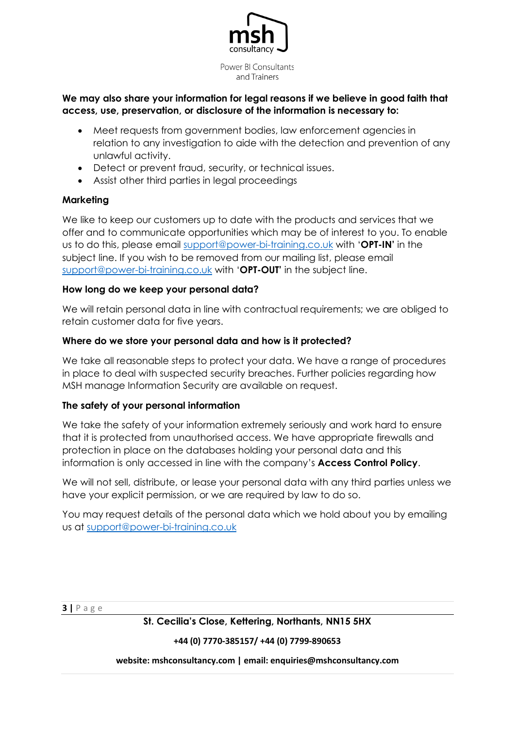

# **We may also share your information for legal reasons if we believe in good faith that access, use, preservation, or disclosure of the information is necessary to:**

- Meet requests from government bodies, law enforcement agencies in relation to any investigation to aide with the detection and prevention of any unlawful activity.
- Detect or prevent fraud, security, or technical issues.
- Assist other third parties in legal proceedings

# **Marketing**

We like to keep our customers up to date with the products and services that we offer and to communicate opportunities which may be of interest to you. To enable us to do this, please email [support@power-bi-training.co.uk](mailto:support@power-bi-training.co.uk) with '**OPT-IN'** in the subject line. If you wish to be removed from our mailing list, please email [support@power-bi-training.co.uk](mailto:support@power-bi-training.co.uk) with '**OPT-OUT'** in the subject line.

# **How long do we keep your personal data?**

We will retain personal data in line with contractual requirements; we are obliged to retain customer data for five years.

# **Where do we store your personal data and how is it protected?**

We take all reasonable steps to protect your data. We have a range of procedures in place to deal with suspected security breaches. Further policies regarding how MSH manage Information Security are available on request.

# **The safety of your personal information**

We take the safety of your information extremely seriously and work hard to ensure that it is protected from unauthorised access. We have appropriate firewalls and protection in place on the databases holding your personal data and this information is only accessed in line with the company's **Access Control Policy**.

We will not sell, distribute, or lease your personal data with any third parties unless we have your explicit permission, or we are required by law to do so.

You may request details of the personal data which we hold about you by emailing us at [support@power-bi-training.co.uk](mailto:support@power-bi-training.co.uk)

**3 |** Page

**St. Cecilia's Close, Kettering, Northants, NN15 5HX**

**+44 (0) 7770-385157/ +44 (0) 7799-890653**